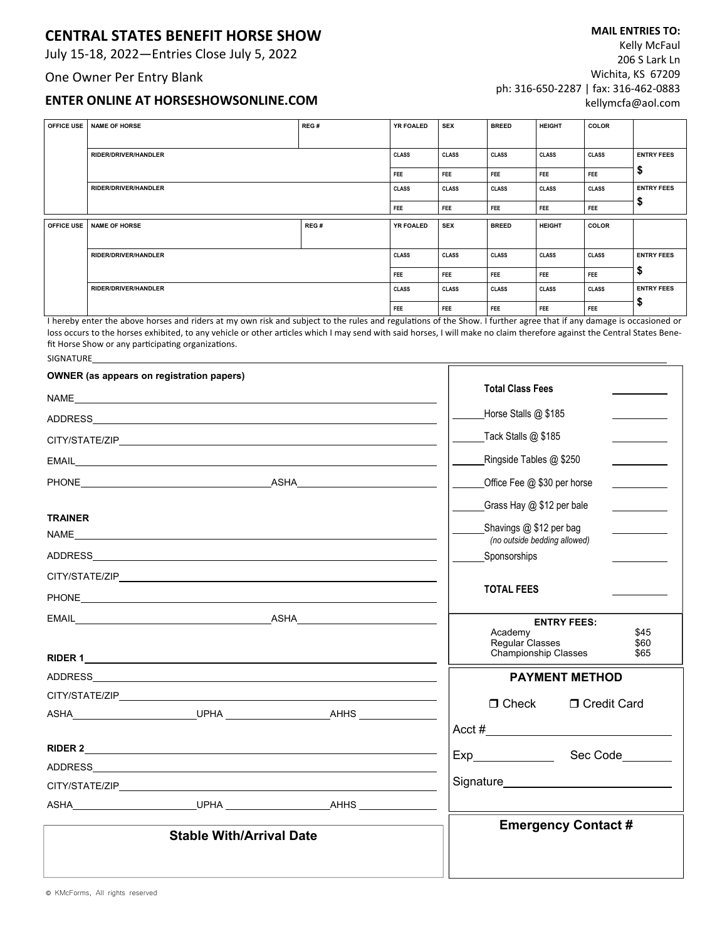## **CENTRAL STATES BENEFIT HORSE SHOW**

July 15‐18, 2022—Entries Close July 5, 2022

#### One Owner Per Entry Blank

### **ENTER ONLINE AT HORSESHOWSONLINE.COM**

**MAIL ENTRIES TO:**  Kelly McFaul 206 S Lark Ln Wichita, KS 67209 ph: 316‐650‐2287 | fax: 316‐462‐0883 kellymcfa@aol.com

| <b>OFFICE USE</b> | NAME OF HORSE               | REG# | <b>YR FOALED</b> | <b>SEX</b>   | <b>BREED</b> | <b>HEIGHT</b> | COLOR        |                   |
|-------------------|-----------------------------|------|------------------|--------------|--------------|---------------|--------------|-------------------|
|                   |                             |      |                  |              |              |               |              |                   |
|                   | RIDER/DRIVER/HANDLER        |      | <b>CLASS</b>     | <b>CLASS</b> | <b>CLASS</b> | <b>CLASS</b>  | <b>CLASS</b> | <b>ENTRY FEES</b> |
|                   |                             |      | <b>FEE</b>       | <b>FEE</b>   | FEE          | FEE           | <b>FEE</b>   | ₽                 |
|                   | RIDER/DRIVER/HANDLER        |      | <b>CLASS</b>     | <b>CLASS</b> | <b>CLASS</b> | <b>CLASS</b>  | <b>CLASS</b> | <b>ENTRY FEES</b> |
|                   |                             |      | <b>FEE</b>       | FEE          | FEE          | <b>FEE</b>    | FEE          |                   |
|                   |                             |      |                  |              |              |               |              |                   |
| <b>OFFICE USE</b> | NAME OF HORSE               | REG# | <b>YR FOALED</b> | <b>SEX</b>   | <b>BREED</b> | <b>HEIGHT</b> | <b>COLOR</b> |                   |
|                   |                             |      |                  |              |              |               |              |                   |
|                   | <b>RIDER/DRIVER/HANDLER</b> |      | <b>CLASS</b>     | <b>CLASS</b> | <b>CLASS</b> | <b>CLASS</b>  | <b>CLASS</b> | <b>ENTRY FEES</b> |
|                   |                             |      | FEE              | FEE          | FEE          | FEE           | FEE          | \$                |
|                   | <b>RIDER/DRIVER/HANDLER</b> |      | <b>CLASS</b>     | <b>CLASS</b> | <b>CLASS</b> | <b>CLASS</b>  | <b>CLASS</b> | <b>ENTRY FEES</b> |

I hereby enter the above horses and riders at my own risk and subject to the rules and regulations of the Show. I further agree that if any damage is occasioned or loss occurs to the horses exhibited, to any vehicle or other articles which I may send with said horses, I will make no claim therefore against the Central States Benefit Horse Show or any participating organizations. SIGNATURE

| <b>OWNER</b> (as appears on registration papers) |                                 |                                                                                                                                                                                                                                |                                                           |                      |  |  |  |
|--------------------------------------------------|---------------------------------|--------------------------------------------------------------------------------------------------------------------------------------------------------------------------------------------------------------------------------|-----------------------------------------------------------|----------------------|--|--|--|
|                                                  |                                 | <b>Total Class Fees</b>                                                                                                                                                                                                        |                                                           |                      |  |  |  |
|                                                  |                                 |                                                                                                                                                                                                                                | Horse Stalls @ \$185                                      |                      |  |  |  |
|                                                  |                                 |                                                                                                                                                                                                                                | Tack Stalls @ \$185                                       |                      |  |  |  |
|                                                  |                                 |                                                                                                                                                                                                                                | Ringside Tables @ \$250                                   |                      |  |  |  |
|                                                  |                                 |                                                                                                                                                                                                                                | Office Fee @ \$30 per horse                               |                      |  |  |  |
|                                                  |                                 |                                                                                                                                                                                                                                | Grass Hay @ \$12 per bale                                 |                      |  |  |  |
| <b>TRAINER</b>                                   |                                 |                                                                                                                                                                                                                                |                                                           |                      |  |  |  |
| NAME                                             |                                 | <u> 1989 - Johann Stoff, deutscher Stoff, der Stoff, der Stoff, der Stoff, der Stoff, der Stoff, der Stoff, der S</u>                                                                                                          | Shavings $@$ \$12 per bag<br>(no outside bedding allowed) |                      |  |  |  |
|                                                  |                                 |                                                                                                                                                                                                                                | Sponsorships                                              |                      |  |  |  |
|                                                  |                                 |                                                                                                                                                                                                                                |                                                           |                      |  |  |  |
|                                                  |                                 |                                                                                                                                                                                                                                | <b>TOTAL FEES</b>                                         |                      |  |  |  |
|                                                  |                                 |                                                                                                                                                                                                                                | <b>ENTRY FEES:</b>                                        |                      |  |  |  |
|                                                  |                                 |                                                                                                                                                                                                                                | Academy<br>Regular Classes<br>Championship Classes        | \$45<br>\$60<br>\$65 |  |  |  |
|                                                  |                                 | <b>PAYMENT METHOD</b>                                                                                                                                                                                                          |                                                           |                      |  |  |  |
|                                                  |                                 |                                                                                                                                                                                                                                |                                                           |                      |  |  |  |
|                                                  |                                 |                                                                                                                                                                                                                                | $\Box$ Check                                              | □ Credit Card        |  |  |  |
|                                                  |                                 |                                                                                                                                                                                                                                |                                                           |                      |  |  |  |
|                                                  |                                 |                                                                                                                                                                                                                                |                                                           | Sec Code_______      |  |  |  |
|                                                  |                                 |                                                                                                                                                                                                                                |                                                           |                      |  |  |  |
|                                                  |                                 | CITY/STATE/ZIP AND THE STATE OF THE STATE OF THE STATE OF THE STATE OF THE STATE OF THE STATE OF THE STATE OF THE STATE OF THE STATE OF THE STATE OF THE STATE OF THE STATE OF THE STATE OF THE STATE OF THE STATE OF THE STAT | Signature <b>Signature Signature</b>                      |                      |  |  |  |
|                                                  |                                 |                                                                                                                                                                                                                                |                                                           |                      |  |  |  |
|                                                  | <b>Stable With/Arrival Date</b> | <b>Emergency Contact #</b>                                                                                                                                                                                                     |                                                           |                      |  |  |  |